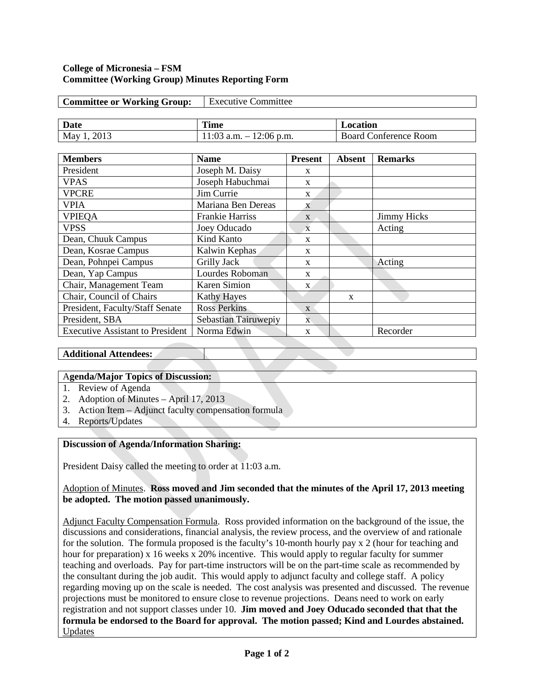### **College of Micronesia – FSM Committee (Working Group) Minutes Reporting Form**

| <b>Committee or Working Group:</b> | <b>Executive Committee</b> |          |
|------------------------------------|----------------------------|----------|
|                                    |                            |          |
| <b>Date</b>                        | <b>Time</b>                | Location |

May 1, 2013 11:03 a.m. – 12:06 p.m. Board Conference Room

| <b>Members</b>                          | <b>Name</b>            | <b>Present</b> | Absent       | <b>Remarks</b>     |
|-----------------------------------------|------------------------|----------------|--------------|--------------------|
| President                               | Joseph M. Daisy        | $\mathbf{x}$   |              |                    |
| <b>VPAS</b>                             | Joseph Habuchmai       | X              |              |                    |
| <b>VPCRE</b>                            | Jim Currie             | X              |              |                    |
| <b>VPIA</b>                             | Mariana Ben Dereas     | X              |              |                    |
| <b>VPIEQA</b>                           | <b>Frankie Harriss</b> | X              |              | <b>Jimmy Hicks</b> |
| <b>VPSS</b>                             | Joey Oducado           | $\overline{X}$ |              | Acting             |
| Dean, Chuuk Campus                      | Kind Kanto             | X              |              |                    |
| Dean, Kosrae Campus                     | Kalwin Kephas          | $\mathbf{x}$   |              |                    |
| Dean, Pohnpei Campus                    | Grilly Jack            | X              |              | Acting             |
| Dean, Yap Campus                        | Lourdes Roboman        | X              |              |                    |
| Chair, Management Team                  | <b>Karen Simion</b>    | $\mathbf{x}$   |              |                    |
| Chair, Council of Chairs                | <b>Kathy Hayes</b>     |                | $\mathbf{x}$ |                    |
| President, Faculty/Staff Senate         | <b>Ross Perkins</b>    | $\mathbf{x}$   |              |                    |
| President, SBA                          | Sebastian Tairuwepiy   | $\mathbf{X}$   |              |                    |
| <b>Executive Assistant to President</b> | Norma Edwin            | X              |              | Recorder           |

### **Additional Attendees:**

#### A**genda/Major Topics of Discussion:**

- 1. Review of Agenda
- 2. Adoption of Minutes April 17, 2013
- 3. Action Item Adjunct faculty compensation formula
- 4. Reports/Updates

#### **Discussion of Agenda/Information Sharing:**

President Daisy called the meeting to order at 11:03 a.m.

## Adoption of Minutes. **Ross moved and Jim seconded that the minutes of the April 17, 2013 meeting be adopted. The motion passed unanimously.**

Adjunct Faculty Compensation Formula. Ross provided information on the background of the issue, the discussions and considerations, financial analysis, the review process, and the overview of and rationale for the solution. The formula proposed is the faculty's 10-month hourly pay x 2 (hour for teaching and hour for preparation) x 16 weeks x 20% incentive. This would apply to regular faculty for summer teaching and overloads. Pay for part-time instructors will be on the part-time scale as recommended by the consultant during the job audit. This would apply to adjunct faculty and college staff. A policy regarding moving up on the scale is needed. The cost analysis was presented and discussed. The revenue projections must be monitored to ensure close to revenue projections. Deans need to work on early registration and not support classes under 10. **Jim moved and Joey Oducado seconded that that the formula be endorsed to the Board for approval. The motion passed; Kind and Lourdes abstained.**  Updates